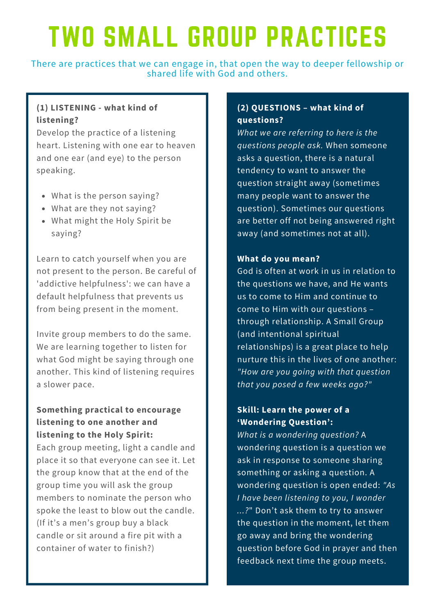# TWO SMALL GROUP PRACTICES

There are practices that we can engage in, that open the way to deeper fellowship or shared life with God and others.

## **(1) LISTENING - what kind of listening?**

Develop the practice of a listening heart. Listening with one ear to heaven and one ear (and eye) to the person speaking.

- What is the person saying?
- What are they not saying?
- What might the Holy Spirit be saying?

Learn to catch yourself when you are not present to the person. Be careful of 'addictive helpfulness': we can have a default helpfulness that prevents us from being present in the moment.

Invite group members to do the same. We are learning together to listen for what God might be saying through one another. This kind of listening requires a slower pace.

# **Something practical to encourage listening to one another and listening to the Holy Spirit:**

Each group meeting, light a candle and place it so that everyone can see it. Let the group know that at the end of the group time you will ask the group members to nominate the person who spoke the least to blow out the candle. (If it's a men's group buy a black candle or sit around a fire pit with a container of water to finish?)

## **(2) QUESTIONS – what kind of questions?**

*What we are referring to here is the questions people ask.* When someone asks a question, there is a natural tendency to want to answer the question straight away (sometimes many people want to answer the question). Sometimes our questions are better off not being answered right away (and sometimes not at all).

#### **What do you mean?**

God is often at work in us in relation to the questions we have, and He wants us to come to Him and continue to come to Him with our questions – through relationship. A Small Group (and intentional spiritual relationships) is a great place to help nurture this in the lives of one another: *"How are you going with that question that you posed a few weeks ago?"*

## **Skill: Learn the power of a 'Wondering Question':**

*What is a wondering question?* A wondering question is a question we ask in response to someone sharing something or asking a question. A wondering question is open ended: *"As I have been listening to you, I wonder ...?*" Don't ask them to try to answer the question in the moment, let them go away and bring the wondering question before God in prayer and then feedback next time the group meets.